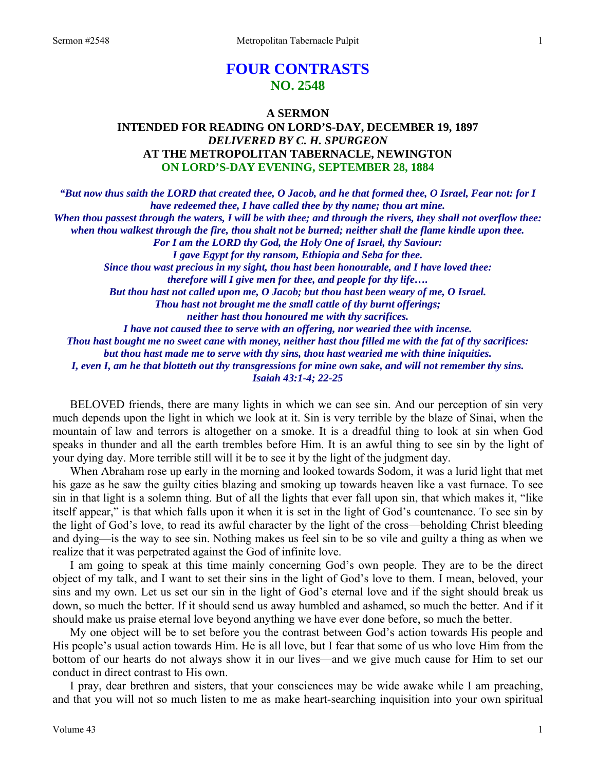# **FOUR CONTRASTS NO. 2548**

## **A SERMON INTENDED FOR READING ON LORD'S-DAY, DECEMBER 19, 1897**  *DELIVERED BY C. H. SPURGEON*  **AT THE METROPOLITAN TABERNACLE, NEWINGTON ON LORD'S-DAY EVENING, SEPTEMBER 28, 1884**

*"But now thus saith the LORD that created thee, O Jacob, and he that formed thee, O Israel, Fear not: for I have redeemed thee, I have called thee by thy name; thou art mine. When thou passest through the waters, I will be with thee; and through the rivers, they shall not overflow thee: when thou walkest through the fire, thou shalt not be burned; neither shall the flame kindle upon thee. For I am the LORD thy God, the Holy One of Israel, thy Saviour: I gave Egypt for thy ransom, Ethiopia and Seba for thee. Since thou wast precious in my sight, thou hast been honourable, and I have loved thee: therefore will I give men for thee, and people for thy life…. But thou hast not called upon me, O Jacob; but thou hast been weary of me, O Israel. Thou hast not brought me the small cattle of thy burnt offerings; neither hast thou honoured me with thy sacrifices. I have not caused thee to serve with an offering, nor wearied thee with incense. Thou hast bought me no sweet cane with money, neither hast thou filled me with the fat of thy sacrifices: but thou hast made me to serve with thy sins, thou hast wearied me with thine iniquities. I, even I, am he that blotteth out thy transgressions for mine own sake, and will not remember thy sins. Isaiah 43:1-4; 22-25* 

BELOVED friends, there are many lights in which we can see sin. And our perception of sin very much depends upon the light in which we look at it. Sin is very terrible by the blaze of Sinai, when the mountain of law and terrors is altogether on a smoke. It is a dreadful thing to look at sin when God speaks in thunder and all the earth trembles before Him. It is an awful thing to see sin by the light of your dying day. More terrible still will it be to see it by the light of the judgment day.

 When Abraham rose up early in the morning and looked towards Sodom, it was a lurid light that met his gaze as he saw the guilty cities blazing and smoking up towards heaven like a vast furnace. To see sin in that light is a solemn thing. But of all the lights that ever fall upon sin, that which makes it, "like itself appear," is that which falls upon it when it is set in the light of God's countenance. To see sin by the light of God's love, to read its awful character by the light of the cross—beholding Christ bleeding and dying—is the way to see sin. Nothing makes us feel sin to be so vile and guilty a thing as when we realize that it was perpetrated against the God of infinite love.

 I am going to speak at this time mainly concerning God's own people. They are to be the direct object of my talk, and I want to set their sins in the light of God's love to them. I mean, beloved, your sins and my own. Let us set our sin in the light of God's eternal love and if the sight should break us down, so much the better. If it should send us away humbled and ashamed, so much the better. And if it should make us praise eternal love beyond anything we have ever done before, so much the better.

 My one object will be to set before you the contrast between God's action towards His people and His people's usual action towards Him. He is all love, but I fear that some of us who love Him from the bottom of our hearts do not always show it in our lives—and we give much cause for Him to set our conduct in direct contrast to His own.

 I pray, dear brethren and sisters, that your consciences may be wide awake while I am preaching, and that you will not so much listen to me as make heart-searching inquisition into your own spiritual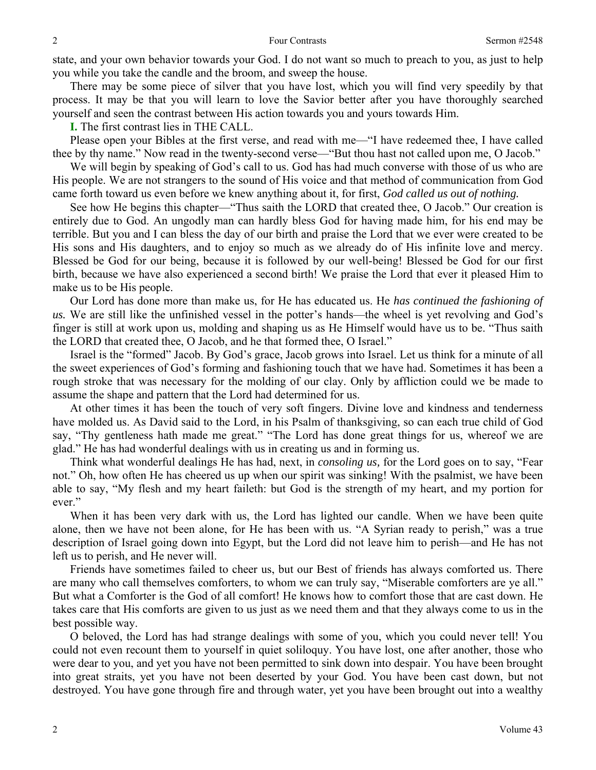state, and your own behavior towards your God. I do not want so much to preach to you, as just to help you while you take the candle and the broom, and sweep the house.

 There may be some piece of silver that you have lost, which you will find very speedily by that process. It may be that you will learn to love the Savior better after you have thoroughly searched yourself and seen the contrast between His action towards you and yours towards Him.

**I.** The first contrast lies in THE CALL.

 Please open your Bibles at the first verse, and read with me—"I have redeemed thee, I have called thee by thy name." Now read in the twenty-second verse—"But thou hast not called upon me, O Jacob."

 We will begin by speaking of God's call to us. God has had much converse with those of us who are His people. We are not strangers to the sound of His voice and that method of communication from God came forth toward us even before we knew anything about it, for first, *God called us out of nothing.* 

See how He begins this chapter—"Thus saith the LORD that created thee, O Jacob." Our creation is entirely due to God. An ungodly man can hardly bless God for having made him, for his end may be terrible. But you and I can bless the day of our birth and praise the Lord that we ever were created to be His sons and His daughters, and to enjoy so much as we already do of His infinite love and mercy. Blessed be God for our being, because it is followed by our well-being! Blessed be God for our first birth, because we have also experienced a second birth! We praise the Lord that ever it pleased Him to make us to be His people.

 Our Lord has done more than make us, for He has educated us. He *has continued the fashioning of us.* We are still like the unfinished vessel in the potter's hands—the wheel is yet revolving and God's finger is still at work upon us, molding and shaping us as He Himself would have us to be. "Thus saith the LORD that created thee, O Jacob, and he that formed thee, O Israel."

 Israel is the "formed" Jacob. By God's grace, Jacob grows into Israel. Let us think for a minute of all the sweet experiences of God's forming and fashioning touch that we have had. Sometimes it has been a rough stroke that was necessary for the molding of our clay. Only by affliction could we be made to assume the shape and pattern that the Lord had determined for us.

 At other times it has been the touch of very soft fingers. Divine love and kindness and tenderness have molded us. As David said to the Lord, in his Psalm of thanksgiving, so can each true child of God say, "Thy gentleness hath made me great." "The Lord has done great things for us, whereof we are glad." He has had wonderful dealings with us in creating us and in forming us.

 Think what wonderful dealings He has had, next, in *consoling us,* for the Lord goes on to say, "Fear not." Oh, how often He has cheered us up when our spirit was sinking! With the psalmist, we have been able to say, "My flesh and my heart faileth: but God is the strength of my heart, and my portion for ever."

 When it has been very dark with us, the Lord has lighted our candle. When we have been quite alone, then we have not been alone, for He has been with us. "A Syrian ready to perish," was a true description of Israel going down into Egypt, but the Lord did not leave him to perish—and He has not left us to perish, and He never will.

 Friends have sometimes failed to cheer us, but our Best of friends has always comforted us. There are many who call themselves comforters, to whom we can truly say, "Miserable comforters are ye all." But what a Comforter is the God of all comfort! He knows how to comfort those that are cast down. He takes care that His comforts are given to us just as we need them and that they always come to us in the best possible way.

 O beloved, the Lord has had strange dealings with some of you, which you could never tell! You could not even recount them to yourself in quiet soliloquy. You have lost, one after another, those who were dear to you, and yet you have not been permitted to sink down into despair. You have been brought into great straits, yet you have not been deserted by your God. You have been cast down, but not destroyed. You have gone through fire and through water, yet you have been brought out into a wealthy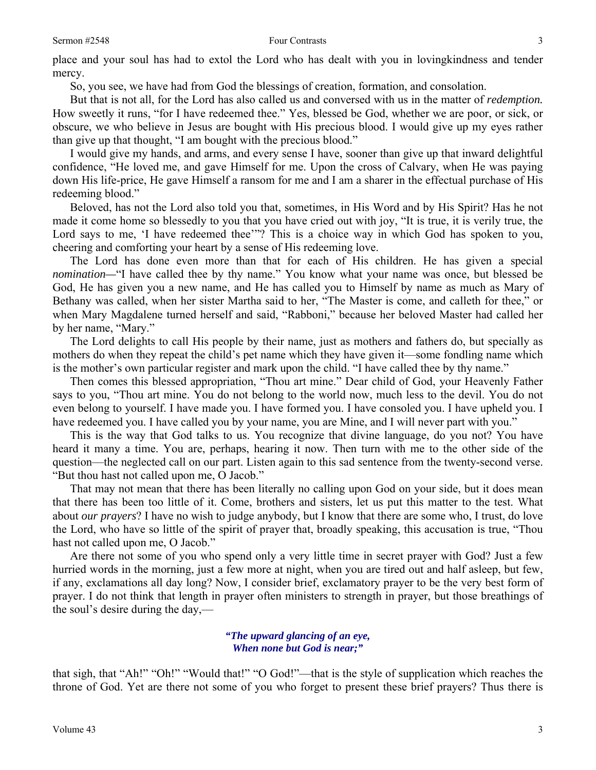place and your soul has had to extol the Lord who has dealt with you in lovingkindness and tender mercy.

So, you see, we have had from God the blessings of creation, formation, and consolation.

 But that is not all, for the Lord has also called us and conversed with us in the matter of *redemption.*  How sweetly it runs, "for I have redeemed thee." Yes, blessed be God, whether we are poor, or sick, or obscure, we who believe in Jesus are bought with His precious blood. I would give up my eyes rather than give up that thought, "I am bought with the precious blood."

 I would give my hands, and arms, and every sense I have, sooner than give up that inward delightful confidence, "He loved me, and gave Himself for me. Upon the cross of Calvary, when He was paying down His life-price, He gave Himself a ransom for me and I am a sharer in the effectual purchase of His redeeming blood."

 Beloved, has not the Lord also told you that, sometimes, in His Word and by His Spirit? Has he not made it come home so blessedly to you that you have cried out with joy, "It is true, it is verily true, the Lord says to me, 'I have redeemed thee'"? This is a choice way in which God has spoken to you, cheering and comforting your heart by a sense of His redeeming love.

 The Lord has done even more than that for each of His children. He has given a special *nomination*—"I have called thee by thy name." You know what your name was once, but blessed be God, He has given you a new name, and He has called you to Himself by name as much as Mary of Bethany was called, when her sister Martha said to her, "The Master is come, and calleth for thee," or when Mary Magdalene turned herself and said, "Rabboni," because her beloved Master had called her by her name, "Mary."

 The Lord delights to call His people by their name, just as mothers and fathers do, but specially as mothers do when they repeat the child's pet name which they have given it—some fondling name which is the mother's own particular register and mark upon the child. "I have called thee by thy name."

 Then comes this blessed appropriation, "Thou art mine." Dear child of God, your Heavenly Father says to you, "Thou art mine. You do not belong to the world now, much less to the devil. You do not even belong to yourself. I have made you. I have formed you. I have consoled you. I have upheld you. I have redeemed you. I have called you by your name, you are Mine, and I will never part with you."

 This is the way that God talks to us. You recognize that divine language, do you not? You have heard it many a time. You are, perhaps, hearing it now. Then turn with me to the other side of the question—the neglected call on our part. Listen again to this sad sentence from the twenty-second verse. "But thou hast not called upon me, O Jacob."

 That may not mean that there has been literally no calling upon God on your side, but it does mean that there has been too little of it. Come, brothers and sisters, let us put this matter to the test. What about *our prayers*? I have no wish to judge anybody, but I know that there are some who, I trust, do love the Lord, who have so little of the spirit of prayer that, broadly speaking, this accusation is true, "Thou hast not called upon me, O Jacob."

 Are there not some of you who spend only a very little time in secret prayer with God? Just a few hurried words in the morning, just a few more at night, when you are tired out and half asleep, but few, if any, exclamations all day long? Now, I consider brief, exclamatory prayer to be the very best form of prayer. I do not think that length in prayer often ministers to strength in prayer, but those breathings of the soul's desire during the day,—

#### *"The upward glancing of an eye, When none but God is near;"*

that sigh, that "Ah!" "Oh!" "Would that!" "O God!"—that is the style of supplication which reaches the throne of God. Yet are there not some of you who forget to present these brief prayers? Thus there is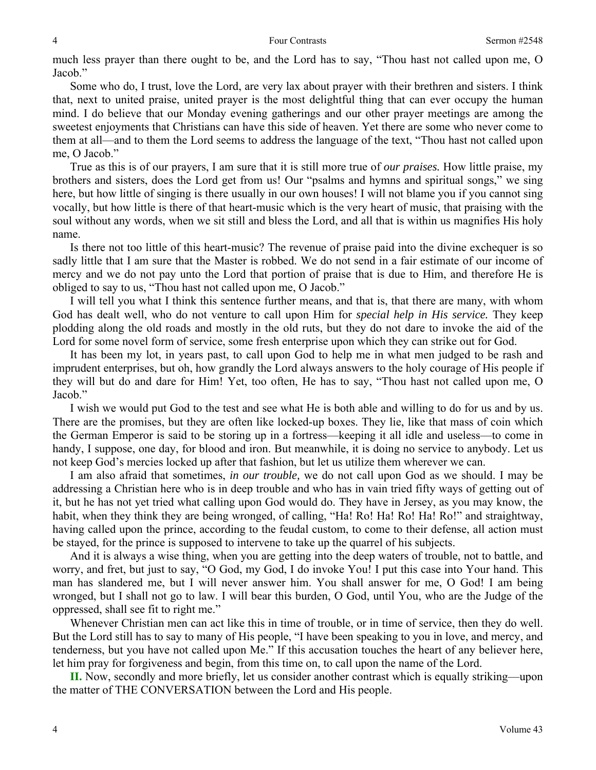much less prayer than there ought to be, and the Lord has to say, "Thou hast not called upon me, O Jacob."

 Some who do, I trust, love the Lord, are very lax about prayer with their brethren and sisters. I think that, next to united praise, united prayer is the most delightful thing that can ever occupy the human mind. I do believe that our Monday evening gatherings and our other prayer meetings are among the sweetest enjoyments that Christians can have this side of heaven. Yet there are some who never come to them at all—and to them the Lord seems to address the language of the text, "Thou hast not called upon me, O Jacob."

 True as this is of our prayers, I am sure that it is still more true of *our praises.* How little praise, my brothers and sisters, does the Lord get from us! Our "psalms and hymns and spiritual songs," we sing here, but how little of singing is there usually in our own houses! I will not blame you if you cannot sing vocally, but how little is there of that heart-music which is the very heart of music, that praising with the soul without any words, when we sit still and bless the Lord, and all that is within us magnifies His holy name.

 Is there not too little of this heart-music? The revenue of praise paid into the divine exchequer is so sadly little that I am sure that the Master is robbed. We do not send in a fair estimate of our income of mercy and we do not pay unto the Lord that portion of praise that is due to Him, and therefore He is obliged to say to us, "Thou hast not called upon me, O Jacob."

 I will tell you what I think this sentence further means, and that is, that there are many, with whom God has dealt well, who do not venture to call upon Him for *special help in His service.* They keep plodding along the old roads and mostly in the old ruts, but they do not dare to invoke the aid of the Lord for some novel form of service, some fresh enterprise upon which they can strike out for God.

 It has been my lot, in years past, to call upon God to help me in what men judged to be rash and imprudent enterprises, but oh, how grandly the Lord always answers to the holy courage of His people if they will but do and dare for Him! Yet, too often, He has to say, "Thou hast not called upon me, O Jacob."

 I wish we would put God to the test and see what He is both able and willing to do for us and by us. There are the promises, but they are often like locked-up boxes. They lie, like that mass of coin which the German Emperor is said to be storing up in a fortress—keeping it all idle and useless—to come in handy, I suppose, one day, for blood and iron. But meanwhile, it is doing no service to anybody. Let us not keep God's mercies locked up after that fashion, but let us utilize them wherever we can.

 I am also afraid that sometimes, *in our trouble,* we do not call upon God as we should. I may be addressing a Christian here who is in deep trouble and who has in vain tried fifty ways of getting out of it, but he has not yet tried what calling upon God would do. They have in Jersey, as you may know, the habit, when they think they are being wronged, of calling, "Ha! Ro! Ha! Ro! Ha! Ro!" and straightway, having called upon the prince, according to the feudal custom, to come to their defense, all action must be stayed, for the prince is supposed to intervene to take up the quarrel of his subjects.

 And it is always a wise thing, when you are getting into the deep waters of trouble, not to battle, and worry, and fret, but just to say, "O God, my God, I do invoke You! I put this case into Your hand. This man has slandered me, but I will never answer him. You shall answer for me, O God! I am being wronged, but I shall not go to law. I will bear this burden, O God, until You, who are the Judge of the oppressed, shall see fit to right me."

 Whenever Christian men can act like this in time of trouble, or in time of service, then they do well. But the Lord still has to say to many of His people, "I have been speaking to you in love, and mercy, and tenderness, but you have not called upon Me." If this accusation touches the heart of any believer here, let him pray for forgiveness and begin, from this time on, to call upon the name of the Lord.

**II.** Now, secondly and more briefly, let us consider another contrast which is equally striking—upon the matter of THE CONVERSATION between the Lord and His people.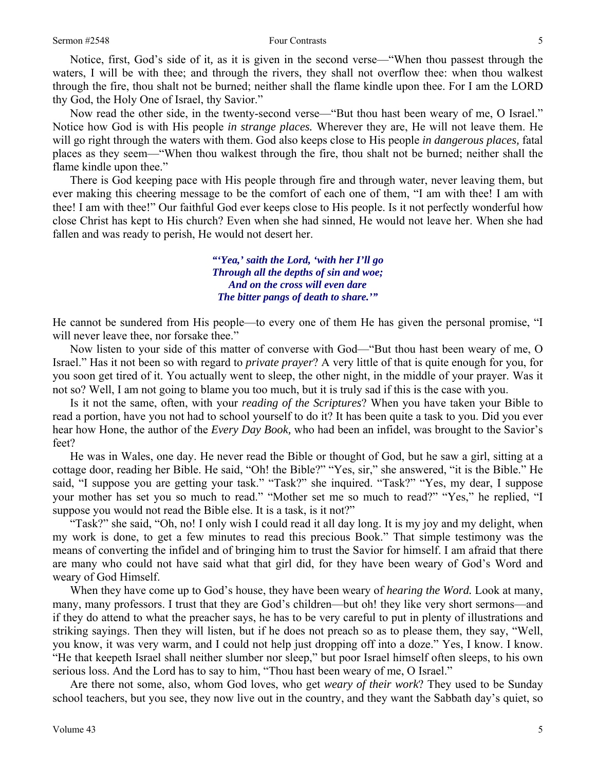Notice, first, God's side of it*,* as it is given in the second verse—"When thou passest through the waters, I will be with thee; and through the rivers, they shall not overflow thee: when thou walkest through the fire, thou shalt not be burned; neither shall the flame kindle upon thee. For I am the LORD thy God, the Holy One of Israel, thy Savior."

 Now read the other side, in the twenty-second verse—"But thou hast been weary of me, O Israel." Notice how God is with His people *in strange places.* Wherever they are, He will not leave them. He will go right through the waters with them. God also keeps close to His people *in dangerous places,* fatal places as they seem—"When thou walkest through the fire, thou shalt not be burned; neither shall the flame kindle upon thee."

 There is God keeping pace with His people through fire and through water, never leaving them, but ever making this cheering message to be the comfort of each one of them, "I am with thee! I am with thee! I am with thee!" Our faithful God ever keeps close to His people. Is it not perfectly wonderful how close Christ has kept to His church? Even when she had sinned, He would not leave her. When she had fallen and was ready to perish, He would not desert her.

> *"'Yea,' saith the Lord, 'with her I'll go Through all the depths of sin and woe; And on the cross will even dare The bitter pangs of death to share.'"*

He cannot be sundered from His people—to every one of them He has given the personal promise, "I will never leave thee, nor forsake thee."

 Now listen to your side of this matter of converse with God—"But thou hast been weary of me, O Israel." Has it not been so with regard to *private prayer*? A very little of that is quite enough for you, for you soon get tired of it. You actually went to sleep, the other night, in the middle of your prayer. Was it not so? Well, I am not going to blame you too much, but it is truly sad if this is the case with you.

 Is it not the same, often, with your *reading of the Scriptures*? When you have taken your Bible to read a portion, have you not had to school yourself to do it? It has been quite a task to you. Did you ever hear how Hone, the author of the *Every Day Book,* who had been an infidel, was brought to the Savior's feet?

 He was in Wales, one day. He never read the Bible or thought of God, but he saw a girl, sitting at a cottage door, reading her Bible. He said, "Oh! the Bible?" "Yes, sir," she answered, "it is the Bible." He said, "I suppose you are getting your task." "Task?" she inquired. "Task?" "Yes, my dear, I suppose your mother has set you so much to read." "Mother set me so much to read?" "Yes," he replied, "I suppose you would not read the Bible else. It is a task, is it not?"

 "Task?" she said, "Oh, no! I only wish I could read it all day long. It is my joy and my delight, when my work is done, to get a few minutes to read this precious Book." That simple testimony was the means of converting the infidel and of bringing him to trust the Savior for himself. I am afraid that there are many who could not have said what that girl did, for they have been weary of God's Word and weary of God Himself.

 When they have come up to God's house, they have been weary of *hearing the Word.* Look at many, many, many professors. I trust that they are God's children—but oh! they like very short sermons—and if they do attend to what the preacher says, he has to be very careful to put in plenty of illustrations and striking sayings. Then they will listen, but if he does not preach so as to please them, they say, "Well, you know, it was very warm, and I could not help just dropping off into a doze." Yes, I know. I know. "He that keepeth Israel shall neither slumber nor sleep," but poor Israel himself often sleeps, to his own serious loss. And the Lord has to say to him, "Thou hast been weary of me, O Israel."

 Are there not some, also, whom God loves, who get *weary of their work*? They used to be Sunday school teachers, but you see, they now live out in the country, and they want the Sabbath day's quiet, so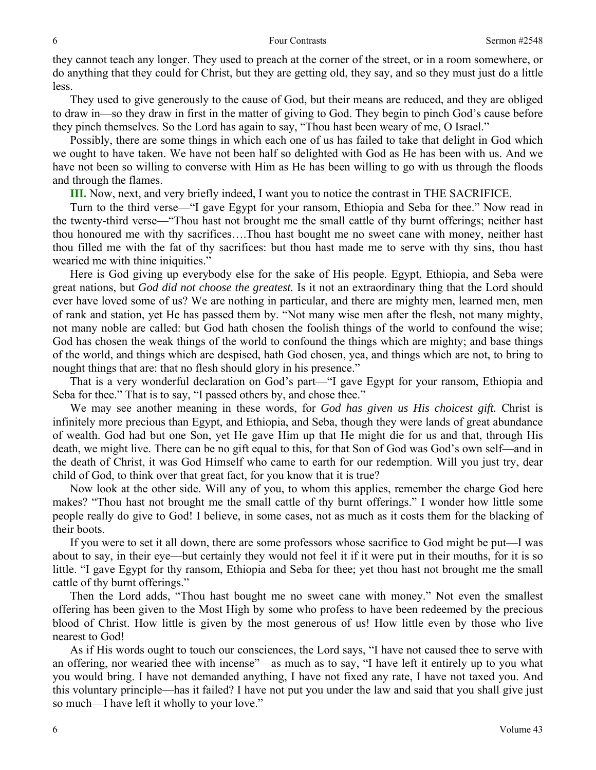they cannot teach any longer. They used to preach at the corner of the street, or in a room somewhere, or do anything that they could for Christ, but they are getting old, they say, and so they must just do a little less.

 They used to give generously to the cause of God, but their means are reduced, and they are obliged to draw in—so they draw in first in the matter of giving to God. They begin to pinch God's cause before they pinch themselves. So the Lord has again to say, "Thou hast been weary of me, O Israel."

 Possibly, there are some things in which each one of us has failed to take that delight in God which we ought to have taken. We have not been half so delighted with God as He has been with us. And we have not been so willing to converse with Him as He has been willing to go with us through the floods and through the flames.

**III.** Now, next, and very briefly indeed, I want you to notice the contrast in THE SACRIFICE.

 Turn to the third verse—"I gave Egypt for your ransom, Ethiopia and Seba for thee." Now read in the twenty-third verse—"Thou hast not brought me the small cattle of thy burnt offerings; neither hast thou honoured me with thy sacrifices….Thou hast bought me no sweet cane with money, neither hast thou filled me with the fat of thy sacrifices: but thou hast made me to serve with thy sins, thou hast wearied me with thine iniquities."

 Here is God giving up everybody else for the sake of His people. Egypt, Ethiopia, and Seba were great nations, but *God did not choose the greatest.* Is it not an extraordinary thing that the Lord should ever have loved some of us? We are nothing in particular, and there are mighty men, learned men, men of rank and station, yet He has passed them by. "Not many wise men after the flesh, not many mighty, not many noble are called: but God hath chosen the foolish things of the world to confound the wise; God has chosen the weak things of the world to confound the things which are mighty; and base things of the world, and things which are despised, hath God chosen, yea, and things which are not, to bring to nought things that are: that no flesh should glory in his presence."

 That is a very wonderful declaration on God's part—"I gave Egypt for your ransom, Ethiopia and Seba for thee." That is to say, "I passed others by, and chose thee."

 We may see another meaning in these words, for *God has given us His choicest gift.* Christ is infinitely more precious than Egypt, and Ethiopia, and Seba, though they were lands of great abundance of wealth. God had but one Son, yet He gave Him up that He might die for us and that, through His death, we might live. There can be no gift equal to this, for that Son of God was God's own self—and in the death of Christ, it was God Himself who came to earth for our redemption. Will you just try, dear child of God, to think over that great fact, for you know that it is true?

 Now look at the other side. Will any of you, to whom this applies, remember the charge God here makes? "Thou hast not brought me the small cattle of thy burnt offerings." I wonder how little some people really do give to God! I believe, in some cases, not as much as it costs them for the blacking of their boots.

 If you were to set it all down, there are some professors whose sacrifice to God might be put—I was about to say, in their eye—but certainly they would not feel it if it were put in their mouths, for it is so little. "I gave Egypt for thy ransom, Ethiopia and Seba for thee; yet thou hast not brought me the small cattle of thy burnt offerings."

 Then the Lord adds, "Thou hast bought me no sweet cane with money." Not even the smallest offering has been given to the Most High by some who profess to have been redeemed by the precious blood of Christ. How little is given by the most generous of us! How little even by those who live nearest to God!

 As if His words ought to touch our consciences, the Lord says, "I have not caused thee to serve with an offering, nor wearied thee with incense"—as much as to say, "I have left it entirely up to you what you would bring. I have not demanded anything, I have not fixed any rate, I have not taxed you. And this voluntary principle—has it failed? I have not put you under the law and said that you shall give just so much—I have left it wholly to your love."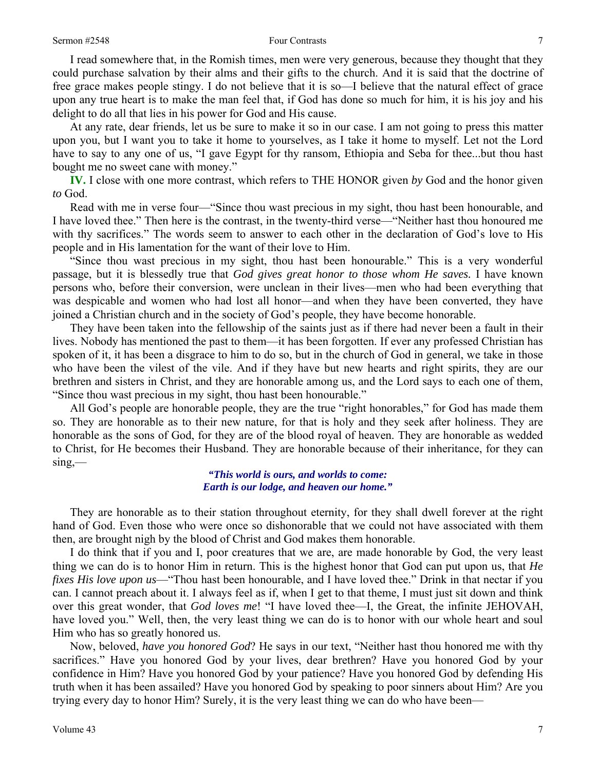I read somewhere that, in the Romish times, men were very generous, because they thought that they could purchase salvation by their alms and their gifts to the church. And it is said that the doctrine of free grace makes people stingy. I do not believe that it is so—I believe that the natural effect of grace upon any true heart is to make the man feel that, if God has done so much for him, it is his joy and his delight to do all that lies in his power for God and His cause.

 At any rate, dear friends, let us be sure to make it so in our case. I am not going to press this matter upon you, but I want you to take it home to yourselves, as I take it home to myself. Let not the Lord have to say to any one of us, "I gave Egypt for thy ransom, Ethiopia and Seba for thee...but thou hast bought me no sweet cane with money."

**IV.** I close with one more contrast, which refers to THE HONOR given *by* God and the honor given *to* God.

 Read with me in verse four—"Since thou wast precious in my sight, thou hast been honourable, and I have loved thee." Then here is the contrast, in the twenty-third verse—"Neither hast thou honoured me with thy sacrifices." The words seem to answer to each other in the declaration of God's love to His people and in His lamentation for the want of their love to Him.

 "Since thou wast precious in my sight, thou hast been honourable." This is a very wonderful passage, but it is blessedly true that *God gives great honor to those whom He saves.* I have known persons who, before their conversion, were unclean in their lives—men who had been everything that was despicable and women who had lost all honor—and when they have been converted, they have joined a Christian church and in the society of God's people, they have become honorable.

 They have been taken into the fellowship of the saints just as if there had never been a fault in their lives. Nobody has mentioned the past to them—it has been forgotten. If ever any professed Christian has spoken of it, it has been a disgrace to him to do so, but in the church of God in general, we take in those who have been the vilest of the vile. And if they have but new hearts and right spirits, they are our brethren and sisters in Christ, and they are honorable among us, and the Lord says to each one of them, "Since thou wast precious in my sight, thou hast been honourable."

 All God's people are honorable people, they are the true "right honorables," for God has made them so. They are honorable as to their new nature, for that is holy and they seek after holiness. They are honorable as the sons of God, for they are of the blood royal of heaven. They are honorable as wedded to Christ, for He becomes their Husband. They are honorable because of their inheritance, for they can  $sing$ —

> *"This world is ours, and worlds to come: Earth is our lodge, and heaven our home."*

 They are honorable as to their station throughout eternity, for they shall dwell forever at the right hand of God. Even those who were once so dishonorable that we could not have associated with them then, are brought nigh by the blood of Christ and God makes them honorable.

 I do think that if you and I, poor creatures that we are, are made honorable by God, the very least thing we can do is to honor Him in return. This is the highest honor that God can put upon us, that *He fixes His love upon us*—"Thou hast been honourable, and I have loved thee." Drink in that nectar if you can. I cannot preach about it. I always feel as if, when I get to that theme, I must just sit down and think over this great wonder, that *God loves me*! "I have loved thee—I, the Great, the infinite JEHOVAH, have loved you." Well, then, the very least thing we can do is to honor with our whole heart and soul Him who has so greatly honored us.

 Now, beloved, *have you honored God*? He says in our text, "Neither hast thou honored me with thy sacrifices." Have you honored God by your lives, dear brethren? Have you honored God by your confidence in Him? Have you honored God by your patience? Have you honored God by defending His truth when it has been assailed? Have you honored God by speaking to poor sinners about Him? Are you trying every day to honor Him? Surely, it is the very least thing we can do who have been—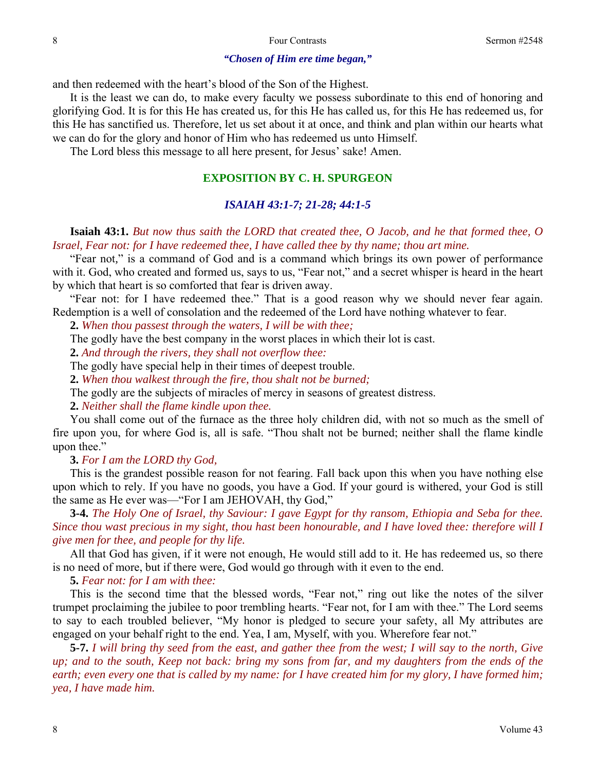#### *"Chosen of Him ere time began,"*

and then redeemed with the heart's blood of the Son of the Highest.

 It is the least we can do, to make every faculty we possess subordinate to this end of honoring and glorifying God. It is for this He has created us, for this He has called us, for this He has redeemed us, for this He has sanctified us. Therefore, let us set about it at once, and think and plan within our hearts what we can do for the glory and honor of Him who has redeemed us unto Himself.

The Lord bless this message to all here present, for Jesus' sake! Amen.

### **EXPOSITION BY C. H. SPURGEON**

#### *ISAIAH 43:1-7; 21-28; 44:1-5*

### **Isaiah 43:1.** *But now thus saith the LORD that created thee, O Jacob, and he that formed thee, O Israel, Fear not: for I have redeemed thee, I have called thee by thy name; thou art mine.*

"Fear not*,*" is a command of God and is a command which brings its own power of performance with it. God, who created and formed us, says to us, "Fear not," and a secret whisper is heard in the heart by which that heart is so comforted that fear is driven away.

 "Fear not: for I have redeemed thee." That is a good reason why we should never fear again. Redemption is a well of consolation and the redeemed of the Lord have nothing whatever to fear.

**2.** *When thou passest through the waters, I will be with thee;* 

The godly have the best company in the worst places in which their lot is cast.

**2.** *And through the rivers, they shall not overflow thee:* 

The godly have special help in their times of deepest trouble.

**2.** *When thou walkest through the fire, thou shalt not be burned;* 

The godly are the subjects of miracles of mercy in seasons of greatest distress.

**2.** *Neither shall the flame kindle upon thee.* 

You shall come out of the furnace as the three holy children did, with not so much as the smell of fire upon you, for where God is, all is safe. "Thou shalt not be burned; neither shall the flame kindle upon thee."

**3.** *For I am the LORD thy God,* 

This is the grandest possible reason for not fearing. Fall back upon this when you have nothing else upon which to rely. If you have no goods, you have a God. If your gourd is withered, your God is still the same as He ever was—"For I am JEHOVAH, thy God,"

**3-4.** *The Holy One of Israel, thy Saviour: I gave Egypt for thy ransom, Ethiopia and Seba for thee. Since thou wast precious in my sight, thou hast been honourable, and I have loved thee: therefore will I give men for thee, and people for thy life.* 

All that God has given, if it were not enough, He would still add to it. He has redeemed us, so there is no need of more, but if there were, God would go through with it even to the end.

**5.** *Fear not: for I am with thee:* 

This is the second time that the blessed words, "Fear not," ring out like the notes of the silver trumpet proclaiming the jubilee to poor trembling hearts. "Fear not, for I am with thee." The Lord seems to say to each troubled believer, "My honor is pledged to secure your safety, all My attributes are engaged on your behalf right to the end. Yea, I am, Myself, with you. Wherefore fear not."

**5-7.** *I will bring thy seed from the east, and gather thee from the west; I will say to the north, Give up; and to the south, Keep not back: bring my sons from far, and my daughters from the ends of the earth; even every one that is called by my name: for I have created him for my glory, I have formed him; yea, I have made him.*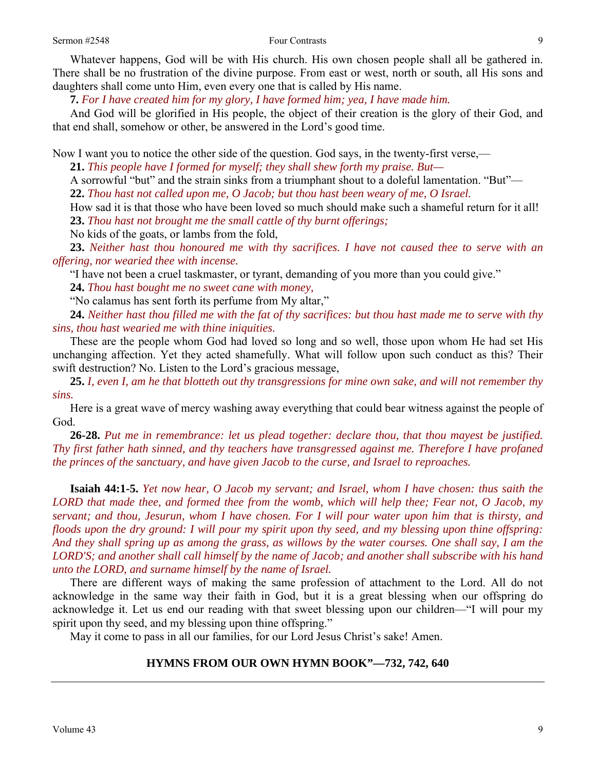Whatever happens, God will be with His church. His own chosen people shall all be gathered in. There shall be no frustration of the divine purpose. From east or west, north or south, all His sons and daughters shall come unto Him, even every one that is called by His name.

**7.** *For I have created him for my glory, I have formed him; yea, I have made him.* 

And God will be glorified in His people, the object of their creation is the glory of their God, and that end shall, somehow or other, be answered in the Lord's good time.

Now I want you to notice the other side of the question. God says, in the twenty-first verse,—

**21.** *This people have I formed for myself; they shall shew forth my praise. But—* 

A sorrowful "but" and the strain sinks from a triumphant shout to a doleful lamentation. "But"—

**22.** *Thou hast not called upon me, O Jacob; but thou hast been weary of me, O Israel.* 

How sad it is that those who have been loved so much should make such a shameful return for it all! **23.** *Thou hast not brought me the small cattle of thy burnt offerings;* 

No kids of the goats, or lambs from the fold,

**23.** *Neither hast thou honoured me with thy sacrifices. I have not caused thee to serve with an offering, nor wearied thee with incense.* 

"I have not been a cruel taskmaster, or tyrant, demanding of you more than you could give."

**24.** *Thou hast bought me no sweet cane with money,* 

"No calamus has sent forth its perfume from My altar,"

**24.** *Neither hast thou filled me with the fat of thy sacrifices: but thou hast made me to serve with thy sins, thou hast wearied me with thine iniquities.* 

These are the people whom God had loved so long and so well, those upon whom He had set His unchanging affection. Yet they acted shamefully. What will follow upon such conduct as this? Their swift destruction? No. Listen to the Lord's gracious message,

**25.** *I, even I, am he that blotteth out thy transgressions for mine own sake, and will not remember thy sins.* 

Here is a great wave of mercy washing away everything that could bear witness against the people of God.

**26-28.** *Put me in remembrance: let us plead together: declare thou, that thou mayest be justified. Thy first father hath sinned, and thy teachers have transgressed against me. Therefore I have profaned the princes of the sanctuary, and have given Jacob to the curse, and Israel to reproaches.* 

**Isaiah 44:1-5.** *Yet now hear, O Jacob my servant; and Israel, whom I have chosen: thus saith the LORD that made thee, and formed thee from the womb, which will help thee; Fear not, O Jacob, my servant; and thou, Jesurun, whom I have chosen. For I will pour water upon him that is thirsty, and floods upon the dry ground: I will pour my spirit upon thy seed, and my blessing upon thine offspring: And they shall spring up as among the grass, as willows by the water courses. One shall say, I am the LORD'S; and another shall call himself by the name of Jacob; and another shall subscribe with his hand unto the LORD, and surname himself by the name of Israel.* 

There are different ways of making the same profession of attachment to the Lord. All do not acknowledge in the same way their faith in God, but it is a great blessing when our offspring do acknowledge it. Let us end our reading with that sweet blessing upon our children—"I will pour my spirit upon thy seed, and my blessing upon thine offspring."

May it come to pass in all our families, for our Lord Jesus Christ's sake! Amen.

### **HYMNS FROM OUR OWN HYMN BOOK"—732, 742, 640**